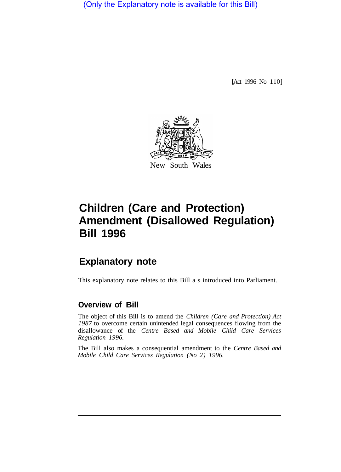(Only the Explanatory note is available for this Bill)

[Act 1996 No 110]



# **Children (Care and Protection) Amendment (Disallowed Regulation) Bill 1996**

## **Explanatory note**

This explanatory note relates to this Bill a s introduced into Parliament.

### **Overview of Bill**

The object of this Bill is to amend the *Children (Care and Protection) Act 1987* to overcome certain unintended legal consequences flowing from the disallowance of the *Centre Based and Mobile Child Care Services Regulation 1996.* 

The Bill also makes a consequential amendment to the *Centre Based and Mobile Child Care Services Regulation (No 2) 1996.*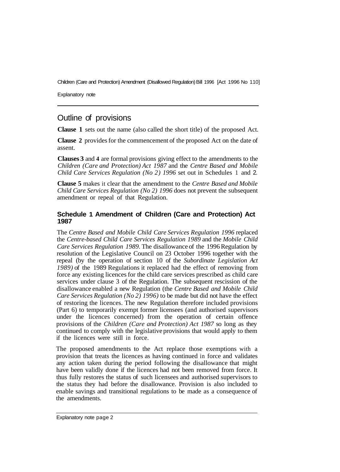Children (Care and Protection) Amendment (Disallowed Regulation) Bill 1996 [Act 1996 No 110]

Explanatory note

### Outline of provisions

**Clause 1** sets out the name (also called the short title) of the proposed Act.

**Clause 2** provides for the commencement of the proposed Act on the date of assent.

**Clauses 3** and **4** are formal provisions giving effect to the amendments to the *Children (Care and Protection) Act 1987* and the *Centre Based and Mobile Child Care Services Regulation (No 2) 1996* set out in Schedules 1 and 2.

**Clause 5** makes it clear that the amendment to the *Centre Based and Mobile Child Care Services Regulation (No 2) 1996* does not prevent the subsequent amendment or repeal of that Regulation.

#### **Schedule 1 Amendment of Children (Care and Protection) Act 1987**

The *Centre Based and Mobile Child Care Services Regulation 1996* replaced the *Centre-based Child Care Services Regulation 1989* and the *Mobile Child Care Services Regulation 1989.* The disallowance of the 1996 Regulation by resolution of the Legislative Council on 23 October 1996 together with the repeal (by the operation of section 10 of the *Subordinate Legislation Act 1989)* of the 1989 Regulations it replaced had the effect of removing from force any existing licences for the child care services prescribed as child care services under clause 3 of the Regulation. The subsequent rescission of the disallowance enabled a new Regulation (the *Centre Based and Mobile Child Care Services Regulation (No 2) 1996)* to be made but did not have the effect of restoring the licences. The new Regulation therefore included provisions (Part 6) to temporarily exempt former licensees (and authorised supervisors under the licences concerned) from the operation of certain offence provisions of the *Children (Care and Protection) Act 1987* so long as they continued to comply with the legislative provisions that would apply to them if the licences were still in force.

The proposed amendments to the Act replace those exemptions with a provision that treats the licences as having continued in force and validates any action taken during the period following the disallowance that might have been validly done if the licences had not been removed from force. It thus fully restores the status of such licensees and authorised supervisors to the status they had before the disallowance. Provision is also included to enable savings and transitional regulations to be made as a consequence of the amendments.

Explanatory note page 2